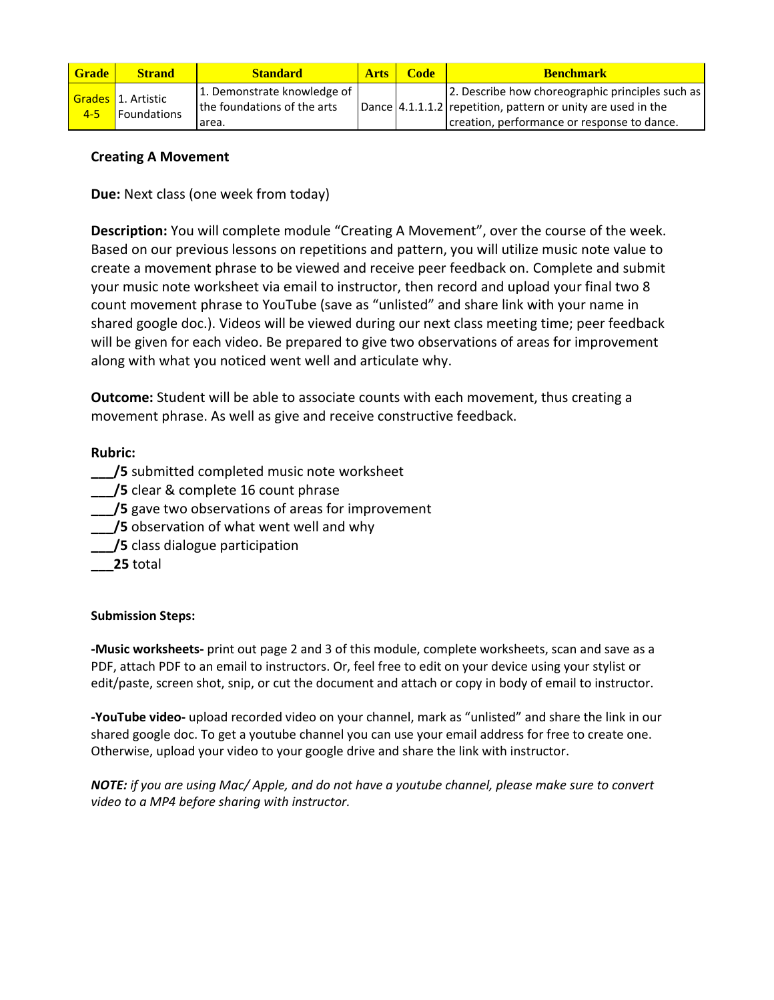| <b>Grade</b> | <b>Strand</b>                                   | <b>Standard</b>                                                     | <b>Arts</b> | <b>Code</b> | <b>Benchmark</b>                                                                                                                                                |
|--------------|-------------------------------------------------|---------------------------------------------------------------------|-------------|-------------|-----------------------------------------------------------------------------------------------------------------------------------------------------------------|
| $4 - 5$      | <b>Grades</b> 1. Artistic<br><b>Foundations</b> | 1. Demonstrate knowledge of<br>the foundations of the arts<br>area. |             |             | 2. Describe how choreographic principles such as<br>Dance 4.1.1.1.2 repetition, pattern or unity are used in the<br>creation, performance or response to dance. |

## **Creating A Movement**

**Due:** Next class (one week from today)

**Description:** You will complete module "Creating A Movement", over the course of the week. Based on our previous lessons on repetitions and pattern, you will utilize music note value to create a movement phrase to be viewed and receive peer feedback on. Complete and submit your music note worksheet via email to instructor, then record and upload your final two 8 count movement phrase to YouTube (save as "unlisted" and share link with your name in shared google doc.). Videos will be viewed during our next class meeting time; peer feedback will be given for each video. Be prepared to give two observations of areas for improvement along with what you noticed went well and articulate why.

**Outcome:** Student will be able to associate counts with each movement, thus creating a movement phrase. As well as give and receive constructive feedback.

## **Rubric:**

- **\_\_\_/5** submitted completed music note worksheet
- **\_\_\_/5** clear & complete 16 count phrase
- **\_\_\_/5** gave two observations of areas for improvement
- **\_\_\_/5** observation of what went well and why
- **\_\_\_/5** class dialogue participation
- **\_\_\_25** total

## **Submission Steps:**

**-Music worksheets-** print out page 2 and 3 of this module, complete worksheets, scan and save as a PDF, attach PDF to an email to instructors. Or, feel free to edit on your device using your stylist or edit/paste, screen shot, snip, or cut the document and attach or copy in body of email to instructor.

**-YouTube video-** upload recorded video on your channel, mark as "unlisted" and share the link in our shared google doc. To get a youtube channel you can use your email address for free to create one. Otherwise, upload your video to your google drive and share the link with instructor.

*NOTE: if you are using Mac/ Apple, and do not have a youtube channel, please make sure to convert video to a MP4 before sharing with instructor.*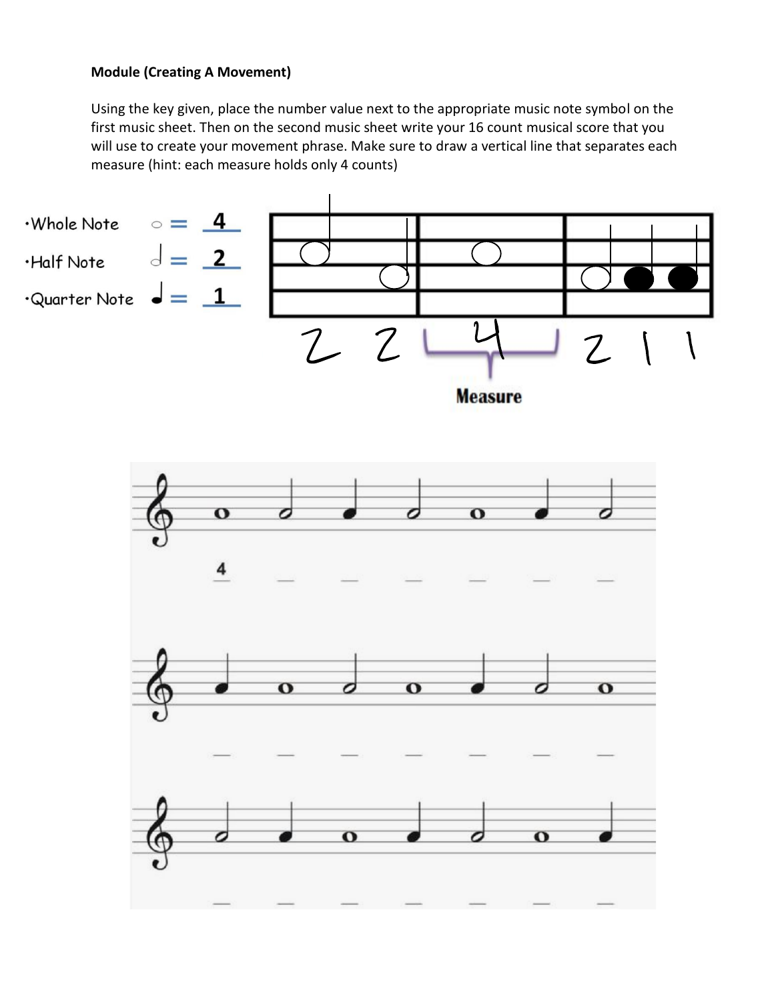## **Module (Creating A Movement)**

Using the key given, place the number value next to the appropriate music note symbol on the first music sheet. Then on the second music sheet write your 16 count musical score that you will use to create your movement phrase. Make sure to draw a vertical line that separates each measure (hint: each measure holds only 4 counts)